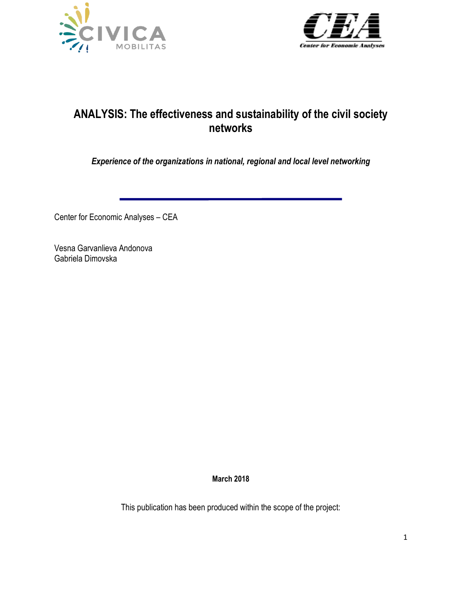



# **ANALYSIS: The effectiveness and sustainability of the civil society networks**

*Experience of the organizations in national, regional and local level networking* 

Center for Economic Analyses – CEA

Vesna Garvanlieva Andonova Gabriela Dimovska

**March 2018**

This publication has been produced within the scope of the project: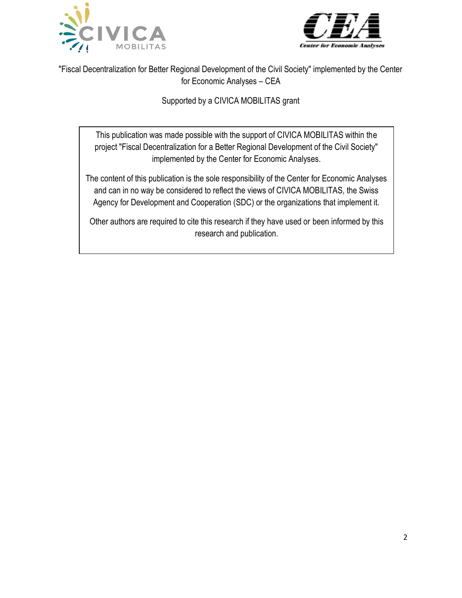



"Fiscal Decentralization for Better Regional Development of the Civil Society" implemented by the Center for Economic Analyses – CEA

Supported by a CIVICA MOBILITAS grant

This publication was made possible with the support of CIVICA MOBILITAS within the project "Fiscal Decentralization for a Better Regional Development of the Civil Society" implemented by the Center for Economic Analyses.

The content of this publication is the sole responsibility of the Center for Economic Analyses and can in no way be considered to reflect the views of CIVICA MOBILITAS, the Swiss Agency for Development and Cooperation (SDC) or the organizations that implement it.

Other authors are required to cite this research if they have used or been informed by this research and publication.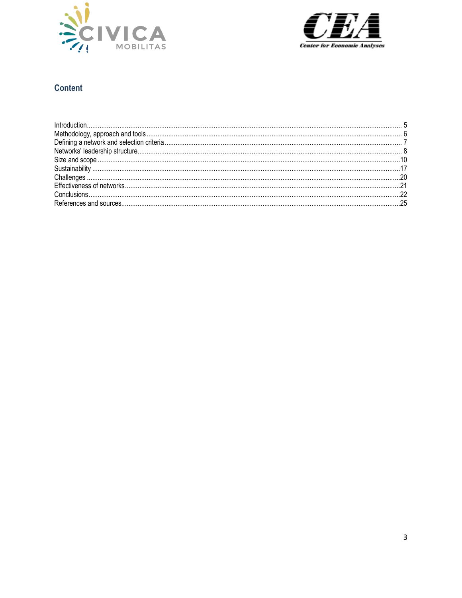



# **Content**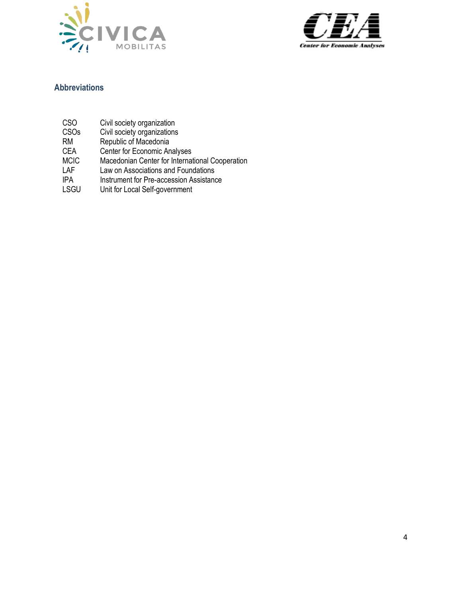



## **Abbreviations**

- CSO Civil society organization
- CSOs Civil society organizations
- RM Republic of Macedonia<br>CEA Center for Economic An
- CEA Center for Economic Analyses
- MCIC Macedonian Center for International Cooperation
- LAF Law on Associations and Foundations
- IPA Instrument for Pre-accession Assistance
- LSGU Unit for Local Self-government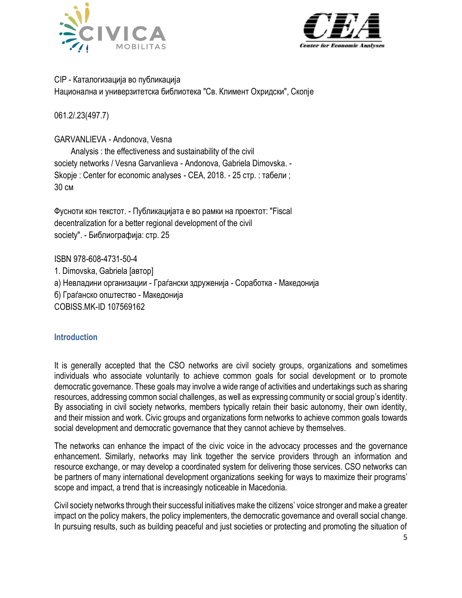



## CIP - Каталогизација во публикација Национална и универзитетска библиотека "Св. Климент Охридски", Скопје

061.2/.23(497.7)

## GARVANLIEVA - Andonova, Vesna

Analysis : the effectiveness and sustainability of the civil society networks / Vesna Garvanlieva - Andonova, Gabriela Dimovska. - Skopje : Center for economic analyses - CEA, 2018. - 25 стр. : табели ; 30 см

Фусноти кон текстот. - Публикацијата е во рамки на проектот: "Fiscal decentralization for a better regional development of the civil society". - Библиографија: стр. 25

ISBN 978-608-4731-50-4

1. Dimovska, Gabriela [автор] а) Невладини организации - Граѓански здруженија - Соработка - Македонија б) Граѓанско општество - Македонија COBISS.MK-ID 107569162

## <span id="page-4-0"></span>**Introduction**

It is generally accepted that the CSO networks are civil society groups, organizations and sometimes individuals who associate voluntarily to achieve common goals for social development or to promote democratic governance. These goals may involve a wide range of activities and undertakings such as sharing resources, addressing common social challenges, as well as expressing community or social group's identity. By associating in civil society networks, members typically retain their basic autonomy, their own identity, and their mission and work. Civic groups and organizations form networks to achieve common goals towards social development and democratic governance that they cannot achieve by themselves.

The networks can enhance the impact of the civic voice in the advocacy processes and the governance enhancement. Similarly, networks may link together the service providers through an information and resource exchange, or may develop a coordinated system for delivering those services. CSO networks can be partners of many international development organizations seeking for ways to maximize their programs' scope and impact, a trend that is increasingly noticeable in Macedonia.

Civil society networks through their successful initiatives make the citizens' voice stronger and make a greater impact on the policy makers, the policy implementers, the democratic governance and overall social change. In pursuing results, such as building peaceful and just societies or protecting and promoting the situation of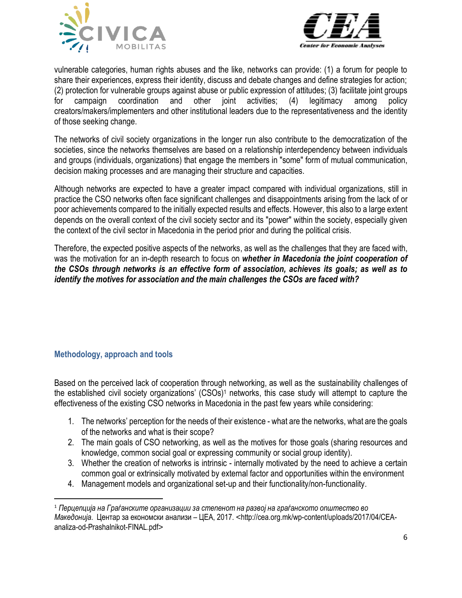



vulnerable categories, human rights abuses and the like, networks can provide: (1) a forum for people to share their experiences, express their identity, discuss and debate changes and define strategies for action; (2) protection for vulnerable groups against abuse or public expression of attitudes; (3) facilitate joint groups for campaign coordination and other joint activities; (4) legitimacy among policy creators/makers/implementers and other institutional leaders due to the representativeness and the identity of those seeking change.

The networks of civil society organizations in the longer run also contribute to the democratization of the societies, since the networks themselves are based on a relationship interdependency between individuals and groups (individuals, organizations) that engage the members in "some" form of mutual communication, decision making processes and are managing their structure and capacities.

Although networks are expected to have a greater impact compared with individual organizations, still in practice the CSO networks often face significant challenges and disappointments arising from the lack of or poor achievements compared to the initially expected results and effects. However, this also to a large extent depends on the overall context of the civil society sector and its "power" within the society, especially given the context of the civil sector in Macedonia in the period prior and during the political crisis.

Therefore, the expected positive aspects of the networks, as well as the challenges that they are faced with, was the motivation for an in-depth research to focus on *whether in Macedonia the joint cooperation of the CSOs through networks is an effective form of association, achieves its goals; as well as to identify the motives for association and the main challenges the CSOs are faced with?*

## <span id="page-5-0"></span>**Methodology, approach and tools**

 $\overline{\phantom{a}}$ 

Based on the perceived lack of cooperation through networking, as well as the sustainability challenges of the established civil society organizations' (CSOs)<sup>1</sup> networks, this case study will attempt to capture the effectiveness of the existing CSO networks in Macedonia in the past few years while considering:

- 1. The networks' perception for the needs of their existence what are the networks, what are the goals of the networks and what is their scope?
- 2. The main goals of CSO networking, as well as the motives for those goals (sharing resources and knowledge, common social goal or expressing community or social group identity).
- 3. Whether the creation of networks is intrinsic internally motivated by the need to achieve a certain common goal or extrinsically motivated by external factor and opportunities within the environment
- 4. Management models and organizational set-up and their functionality/non-functionality.

<sup>1</sup> *Перцепција на Граѓанските организации за степенот на развој на граѓанското општество во Македонија*. Центар за економски анализи – ЦЕА, 2017. <http://cea.org.mk/wp-content/uploads/2017/04/CEAanaliza-od-Prashalnikot-FINAL.pdf>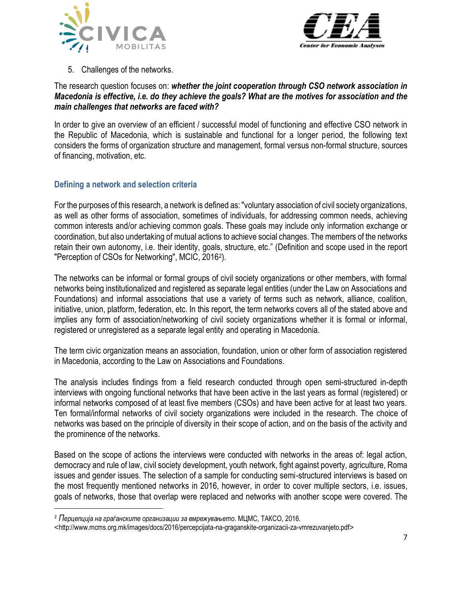



5. Challenges of the networks.

## The research question focuses on: *whether the joint cooperation through CSO network association in Macedonia is effective, i.e. do they achieve the goals? What are the motives for association and the main challenges that networks are faced with?*

In order to give an overview of an efficient / successful model of functioning and effective CSO network in the Republic of Macedonia, which is sustainable and functional for a longer period, the following text considers the forms of organization structure and management, formal versus non-formal structure, sources of financing, motivation, etc.

## <span id="page-6-0"></span>**Defining a network and selection criteria**

For the purposes of this research, a network is defined as: "voluntary association of civil society organizations, as well as other forms of association, sometimes of individuals, for addressing common needs, achieving common interests and/or achieving common goals. These goals may include only information exchange or coordination, but also undertaking of mutual actions to achieve social changes. The members of the networks retain their own autonomy, i.e. their identity, goals, structure, etc." (Definition and scope used in the report "Perception of CSOs for Networking", MCIC, 2016<sup>2</sup> ).

The networks can be informal or formal groups of civil society organizations or other members, with formal networks being institutionalized and registered as separate legal entities (under the Law on Associations and Foundations) and informal associations that use a variety of terms such as network, alliance, coalition, initiative, union, platform, federation, etc. In this report, the term networks covers all of the stated above and implies any form of association/networking of civil society organizations whether it is formal or informal, registered or unregistered as a separate legal entity and operating in Macedonia.

The term civic organization means an association, foundation, union or other form of association registered in Macedonia, according to the Law on Associations and Foundations.

The analysis includes findings from a field research conducted through open semi-structured in-depth interviews with ongoing functional networks that have been active in the last years as formal (registered) or informal networks composed of at least five members (CSOs) and have been active for at least two years. Ten formal/informal networks of civil society organizations were included in the research. The choice of networks was based on the principle of diversity in their scope of action, and on the basis of the activity and the prominence of the networks.

Based on the scope of actions the interviews were conducted with networks in the areas of: legal action, democracy and rule of law, civil society development, youth network, fight against poverty, agriculture, Roma issues and gender issues. The selection of a sample for conducting semi-structured interviews is based on the most frequently mentioned networks in 2016, however, in order to cover multiple sectors, i.e. issues, goals of networks, those that overlap were replaced and networks with another scope were covered. The

 $\overline{a}$ 

<sup>2</sup> *Перцепција на граѓанските организации за вмрежувањето*. МЦМС, ТАКСО, 2016.

<sup>&</sup>lt;http://www.mcms.org.mk/images/docs/2016/percepcijata-na-graganskite-organizacii-za-vmrezuvanjeto.pdf>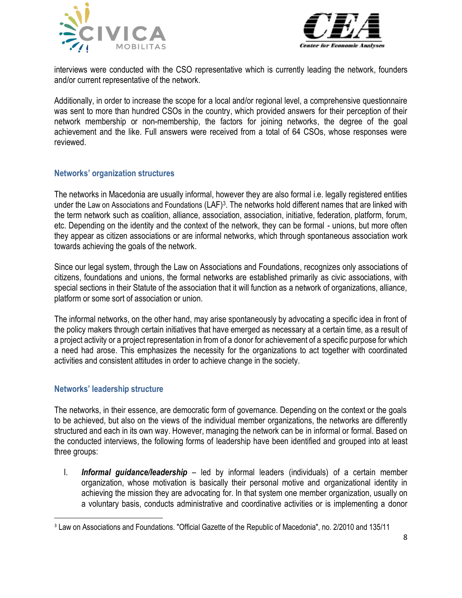



interviews were conducted with the CSO representative which is currently leading the network, founders and/or current representative of the network.

Additionally, in order to increase the scope for a local and/or regional level, a comprehensive questionnaire was sent to more than hundred CSOs in the country, which provided answers for their perception of their network membership or non-membership, the factors for joining networks, the degree of the goal achievement and the like. Full answers were received from a total of 64 CSOs, whose responses were reviewed.

## **Networks' organization structures**

The networks in Macedonia are usually informal, however they are also formal i.e. legally registered entities under the Law on Associations and Foundations (LAF)<sup>3</sup>. The networks hold different names that are linked with the term network such as coalition, alliance, association, association, initiative, federation, platform, forum, etc. Depending on the identity and the context of the network, they can be formal - unions, but more often they appear as citizen associations or are informal networks, which through spontaneous association work towards achieving the goals of the network.

Since our legal system, through the Law on Associations and Foundations, recognizes only associations of citizens, foundations and unions, the formal networks are established primarily as civic associations, with special sections in their Statute of the association that it will function as a network of organizations, alliance, platform or some sort of association or union.

The informal networks, on the other hand, may arise spontaneously by advocating a specific idea in front of the policy makers through certain initiatives that have emerged as necessary at a certain time, as a result of a project activity or a project representation in from of a donor for achievement of a specific purpose for which a need had arose. This emphasizes the necessity for the organizations to act together with coordinated activities and consistent attitudes in order to achieve change in the society.

#### <span id="page-7-0"></span>**Networks' leadership structure**

 $\overline{a}$ 

The networks, in their essence, are democratic form of governance. Depending on the context or the goals to be achieved, but also on the views of the individual member organizations, the networks are differently structured and each in its own way. However, managing the network can be in informal or formal. Based on the conducted interviews, the following forms of leadership have been identified and grouped into at least three groups:

I. *Informal guidance/leadership –* led by informal leaders (individuals) of a certain member organization, whose motivation is basically their personal motive and organizational identity in achieving the mission they are advocating for. In that system one member organization, usually on a voluntary basis, conducts administrative and coordinative activities or is implementing a donor

<sup>3</sup> Law on Associations and Foundations. "Official Gazette of the Republic of Macedonia", no. 2/2010 and 135/11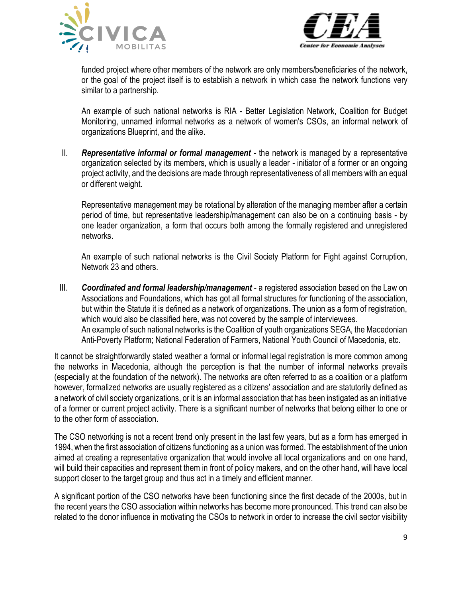



funded project where other members of the network are only members/beneficiaries of the network, or the goal of the project itself is to establish a network in which case the network functions very similar to a partnership.

An example of such national networks is RIA - Better Legislation Network, Coalition for Budget Monitoring, unnamed informal networks as a network of women's CSOs, an informal network of organizations Blueprint, and the alike.

II. *Representative informal or formal management -* the network is managed by a representative organization selected by its members, which is usually a leader - initiator of a former or an ongoing project activity, and the decisions are made through representativeness of all members with an equal or different weight.

Representative management may be rotational by alteration of the managing member after a certain period of time, but representative leadership/management can also be on a continuing basis - by one leader organization, a form that occurs both among the formally registered and unregistered networks.

An example of such national networks is the Civil Society Platform for Fight against Corruption, Network 23 and others.

III. *Coordinated and formal leadership/management* - a registered association based on the Law on Associations and Foundations, which has got all formal structures for functioning of the association, but within the Statute it is defined as a network of organizations. The union as a form of registration, which would also be classified here, was not covered by the sample of interviewees. An example of such national networks is the Coalition of youth organizations SEGA, the Macedonian Anti-Poverty Platform; National Federation of Farmers, National Youth Council of Macedonia, etc.

It cannot be straightforwardly stated weather a formal or informal legal registration is more common among the networks in Macedonia, although the perception is that the number of informal networks prevails (especially at the foundation of the network). The networks are often referred to as a coalition or a platform however, formalized networks are usually registered as a citizens' association and are statutorily defined as a network of civil society organizations, or it is an informal association that has been instigated as an initiative of a former or current project activity. There is a significant number of networks that belong either to one or to the other form of association.

The CSO networking is not a recent trend only present in the last few years, but as a form has emerged in 1994, when the first association of citizens functioning as a union was formed. The establishment of the union aimed at creating a representative organization that would involve all local organizations and on one hand, will build their capacities and represent them in front of policy makers, and on the other hand, will have local support closer to the target group and thus act in a timely and efficient manner.

A significant portion of the CSO networks have been functioning since the first decade of the 2000s, but in the recent years the CSO association within networks has become more pronounced. This trend can also be related to the donor influence in motivating the CSOs to network in order to increase the civil sector visibility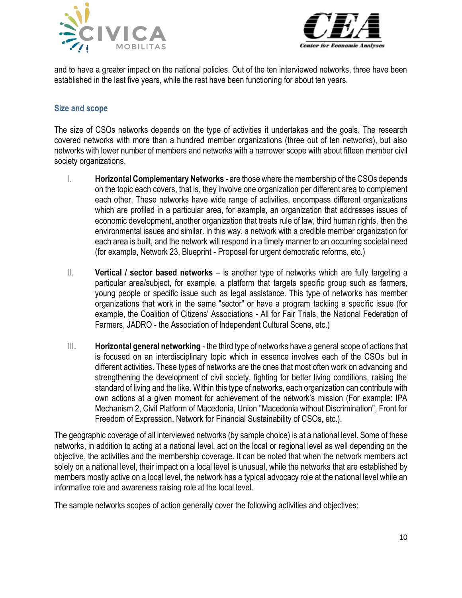



and to have a greater impact on the national policies. Out of the ten interviewed networks, three have been established in the last five years, while the rest have been functioning for about ten years.

## <span id="page-9-0"></span>**Size and scope**

The size of CSOs networks depends on the type of activities it undertakes and the goals. The research covered networks with more than a hundred member organizations (three out of ten networks), but also networks with lower number of members and networks with a narrower scope with about fifteen member civil society organizations.

- I. **Horizontal Complementary Networks** are those where the membership of the CSOs depends on the topic each covers, that is, they involve one organization per different area to complement each other. These networks have wide range of activities, encompass different organizations which are profiled in a particular area, for example, an organization that addresses issues of economic development, another organization that treats rule of law, third human rights, then the environmental issues and similar. In this way, a network with a credible member organization for each area is built, and the network will respond in a timely manner to an occurring societal need (for example, Network 23, Blueprint - Proposal for urgent democratic reforms, etc.)
- II. **Vertical / sector based networks** is another type of networks which are fully targeting a particular area/subject, for example, a platform that targets specific group such as farmers, young people or specific issue such as legal assistance. This type of networks has member organizations that work in the same "sector" or have a program tackling a specific issue (for example, the Coalition of Citizens' Associations - All for Fair Trials, the National Federation of Farmers, JADRO - the Association of Independent Cultural Scene, etc.)
- III. **Horizontal general networking** the third type of networks have a general scope of actions that is focused on an interdisciplinary topic which in essence involves each of the CSOs but in different activities. These types of networks are the ones that most often work on advancing and strengthening the development of civil society, fighting for better living conditions, raising the standard of living and the like. Within this type of networks, each organization can contribute with own actions at a given moment for achievement of the network's mission (For example: IPA Mechanism 2, Civil Platform of Macedonia, Union "Macedonia without Discrimination", Front for Freedom of Expression, Network for Financial Sustainability of CSOs, etc.).

The geographic coverage of all interviewed networks (by sample choice) is at a national level. Some of these networks, in addition to acting at a national level, act on the local or regional level as well depending on the objective, the activities and the membership coverage. It can be noted that when the network members act solely on a national level, their impact on a local level is unusual, while the networks that are established by members mostly active on a local level, the network has a typical advocacy role at the national level while an informative role and awareness raising role at the local level.

The sample networks scopes of action generally cover the following activities and objectives: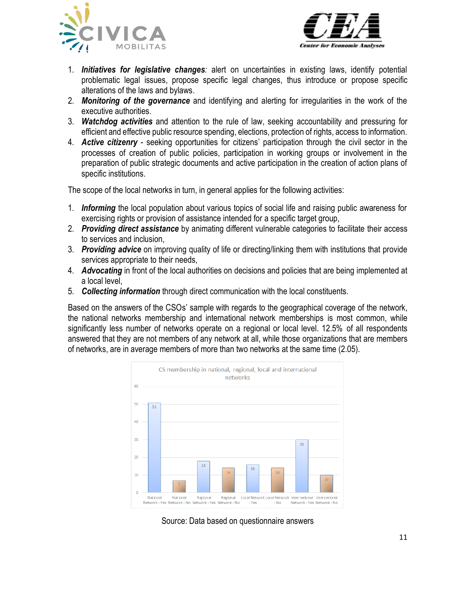



- 1. *Initiatives for legislative changes:* alert on uncertainties in existing laws, identify potential problematic legal issues, propose specific legal changes, thus introduce or propose specific alterations of the laws and bylaws.
- 2. *Monitoring of the governance* and identifying and alerting for irregularities in the work of the executive authorities.
- 3. *Watchdog activities* and attention to the rule of law, seeking accountability and pressuring for efficient and effective public resource spending, elections, protection of rights, access to information.
- 4. *Active citizenry* seeking opportunities for citizens' participation through the civil sector in the processes of creation of public policies, participation in working groups or involvement in the preparation of public strategic documents and active participation in the creation of action plans of specific institutions.

The scope of the local networks in turn, in general applies for the following activities:

- 1. *Informing* the local population about various topics of social life and raising public awareness for exercising rights or provision of assistance intended for a specific target group,
- 2. *Providing direct assistance* by animating different vulnerable categories to facilitate their access to services and inclusion,
- 3. *Providing advice* on improving quality of life or directing/linking them with institutions that provide services appropriate to their needs,
- 4. *Advocating* in front of the local authorities on decisions and policies that are being implemented at a local level,
- 5. *Collecting information* through direct communication with the local constituents.

Based on the answers of the CSOs' sample with regards to the geographical coverage of the network, the national networks membership and international network memberships is most common, while significantly less number of networks operate on a regional or local level. 12.5% of all respondents answered that they are not members of any network at all, while those organizations that are members of networks, are in average members of more than two networks at the same time (2.05).



Source: Data based on questionnaire answers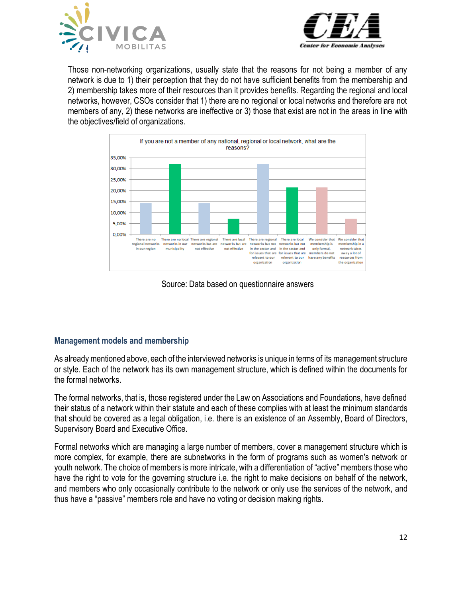



Those non-networking organizations, usually state that the reasons for not being a member of any network is due to 1) their perception that they do not have sufficient benefits from the membership and 2) membership takes more of their resources than it provides benefits. Regarding the regional and local networks, however, CSOs consider that 1) there are no regional or local networks and therefore are not members of any, 2) these networks are ineffective or 3) those that exist are not in the areas in line with the objectives/field of organizations.



Source: Data based on questionnaire answers

## **Management models and membership**

As already mentioned above, each of the interviewed networks is unique in terms of its management structure or style. Each of the network has its own management structure, which is defined within the documents for the formal networks.

The formal networks, that is, those registered under the Law on Associations and Foundations, have defined their status of a network within their statute and each of these complies with at least the minimum standards that should be covered as a legal obligation, i.e. there is an existence of an Assembly, Board of Directors, Supervisory Board and Executive Office.

Formal networks which are managing a large number of members, cover a management structure which is more complex, for example, there are subnetworks in the form of programs such as women's network or youth network. The choice of members is more intricate, with a differentiation of "active" members those who have the right to vote for the governing structure i.e. the right to make decisions on behalf of the network, and members who only occasionally contribute to the network or only use the services of the network, and thus have a "passive" members role and have no voting or decision making rights.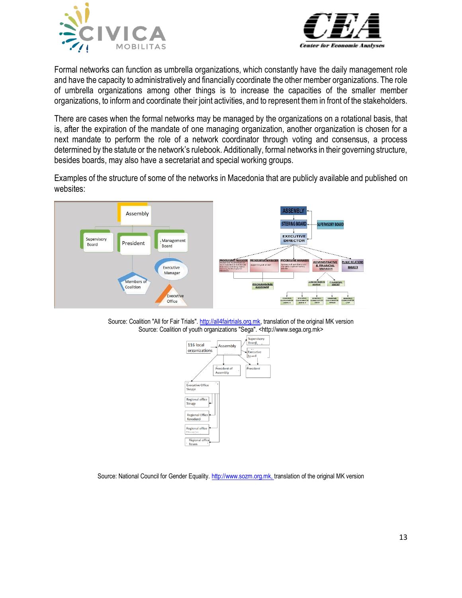



Formal networks can function as umbrella organizations, which constantly have the daily management role and have the capacity to administratively and financially coordinate the other member organizations. The role of umbrella organizations among other things is to increase the capacities of the smaller member organizations, to inform and coordinate their joint activities, and to represent them in front of the stakeholders.

There are cases when the formal networks may be managed by the organizations on a rotational basis, that is, after the expiration of the mandate of one managing organization, another organization is chosen for a next mandate to perform the role of a network coordinator through voting and consensus, a process determined by the statute or the network's rulebook. Additionally, formal networks in their governing structure, besides boards, may also have a secretariat and special working groups.

Examples of the structure of some of the networks in Macedonia that are publicly available and published on websites:



Source: Coalition "All for Fair Trials"[. http://all4fairtrials.org.mk,](http://all4fairtrials.org.mk/) translation of the original MK version Source: Coalition of youth organizations "Sega". <http://www.sega.org.mk>



Source: National Council for Gender Equality[. http://www.sozm.org.mk,](http://www.sozm.org.mk/) translation of the original MK version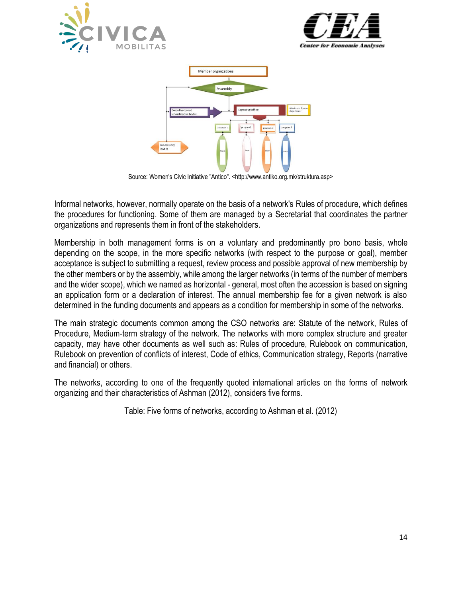





Source: Women's Civic Initiative "Antico". <http://www.antiko.org.mk/struktura.asp>

Informal networks, however, normally operate on the basis of a network's Rules of procedure, which defines the procedures for functioning. Some of them are managed by a Secretariat that coordinates the partner organizations and represents them in front of the stakeholders.

Membership in both management forms is on a voluntary and predominantly pro bono basis, whole depending on the scope, in the more specific networks (with respect to the purpose or goal), member acceptance is subject to submitting a request, review process and possible approval of new membership by the other members or by the assembly, while among the larger networks (in terms of the number of members and the wider scope), which we named as horizontal - general, most often the accession is based on signing an application form or a declaration of interest. The annual membership fee for a given network is also determined in the funding documents and appears as a condition for membership in some of the networks.

The main strategic documents common among the CSO networks are: Statute of the network, Rules of Procedure, Medium-term strategy of the network. The networks with more complex structure and greater capacity, may have other documents as well such as: Rules of procedure, Rulebook on communication, Rulebook on prevention of conflicts of interest, Code of ethics, Communication strategy, Reports (narrative and financial) or others.

The networks, according to one of the frequently quoted international articles on the forms of network organizing and their characteristics of Ashman (2012), considers five forms.

Table: Five forms of networks, according to Ashman et al. (2012)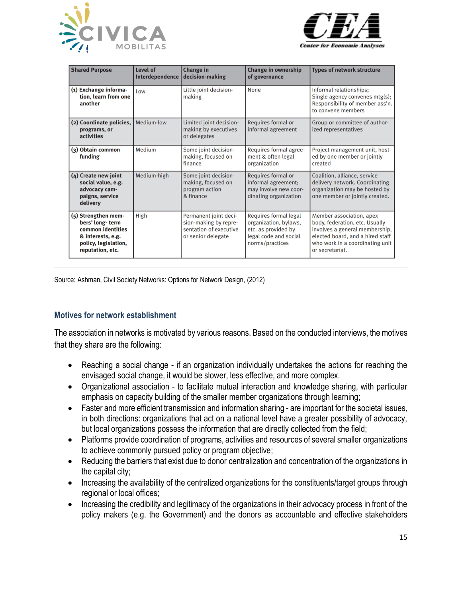



| <b>Shared Purpose</b>                                                                                                        | Level of<br>Interdependence | <b>Change in</b><br>decision-making                                                            | <b>Change in ownership</b><br>of governance                                                                       | <b>Types of network structure</b>                                                                                                                                                      |
|------------------------------------------------------------------------------------------------------------------------------|-----------------------------|------------------------------------------------------------------------------------------------|-------------------------------------------------------------------------------------------------------------------|----------------------------------------------------------------------------------------------------------------------------------------------------------------------------------------|
| (1) Exchange informa-<br>tion, learn from one<br>another                                                                     | Low                         | Little joint decision-<br>making                                                               | None                                                                                                              | Informal relationships;<br>Single agency convenes mtg(s);<br>Responsibility of member ass'n.<br>to convene members                                                                     |
| (2) Coordinate policies,<br>programs, or<br><b>activities</b>                                                                | Medium-low                  | Limited joint decision-<br>making by executives<br>or delegates                                | Requires formal or<br>informal agreement                                                                          | Group or committee of author-<br>ized representatives                                                                                                                                  |
| (3) Obtain common<br>funding                                                                                                 | Medium                      | Some joint decision-<br>making, focused on<br>finance                                          | Requires formal agree-<br>ment & often legal<br>organization                                                      | Project management unit, host-<br>ed by one member or jointly<br>created                                                                                                               |
| (4) Create new joint<br>social value, e.g.<br>advocacy cam-<br>paigns, service<br>delivery                                   | Medium-high                 | Some joint decision-<br>making, focused on<br>program action<br>& finance                      | Requires formal or<br>informal agreement;<br>may involve new coor-<br>dinating organization                       | Coalition, alliance, service<br>delivery network. Coordinating<br>organization may be hosted by<br>one member or jointly created.                                                      |
| (5) Strengthen mem-<br>bers' long-term<br>common identities<br>& interests, e.g.<br>policy, legislation,<br>reputation, etc. | High                        | Permanent joint deci-<br>sion-making by repre-<br>sentation of executive<br>or senior delegate | Requires formal legal<br>organization, bylaws,<br>etc. as provided by<br>legal code and social<br>norms/practices | Member association, apex<br>body, federation, etc. Usually<br>involves a general membership,<br>elected board, and a hired staff<br>who work in a coordinating unit<br>or secretariat. |

Source: Ashman, Civil Society Networks: Options for Network Design, (2012)

#### **Motives for network establishment**

The association in networks is motivated by various reasons. Based on the conducted interviews, the motives that they share are the following:

- Reaching a social change if an organization individually undertakes the actions for reaching the envisaged social change, it would be slower, less effective, and more complex.
- Organizational association to facilitate mutual interaction and knowledge sharing, with particular emphasis on capacity building of the smaller member organizations through learning;
- Faster and more efficient transmission and information sharing are important for the societal issues, in both directions: organizations that act on a national level have a greater possibility of advocacy, but local organizations possess the information that are directly collected from the field;
- Platforms provide coordination of programs, activities and resources of several smaller organizations to achieve commonly pursued policy or program objective;
- Reducing the barriers that exist due to donor centralization and concentration of the organizations in the capital city;
- Increasing the availability of the centralized organizations for the constituents/target groups through regional or local offices;
- Increasing the credibility and legitimacy of the organizations in their advocacy process in front of the policy makers (e.g. the Government) and the donors as accountable and effective stakeholders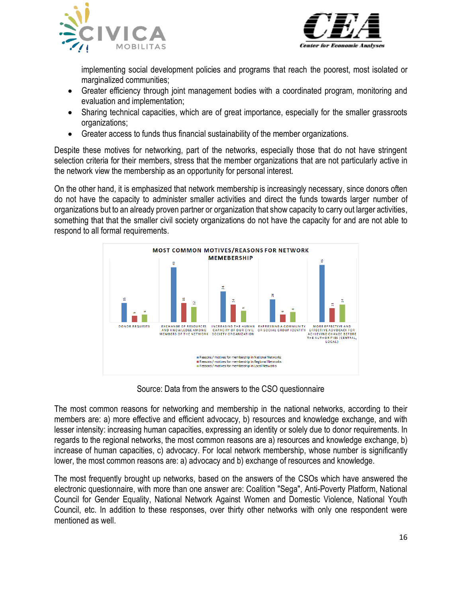



implementing social development policies and programs that reach the poorest, most isolated or marginalized communities;

- Greater efficiency through joint management bodies with a coordinated program, monitoring and evaluation and implementation;
- Sharing technical capacities, which are of great importance, especially for the smaller grassroots organizations;
- Greater access to funds thus financial sustainability of the member organizations.

Despite these motives for networking, part of the networks, especially those that do not have stringent selection criteria for their members, stress that the member organizations that are not particularly active in the network view the membership as an opportunity for personal interest.

On the other hand, it is emphasized that network membership is increasingly necessary, since donors often do not have the capacity to administer smaller activities and direct the funds towards larger number of organizations but to an already proven partner or organization that show capacity to carry out larger activities, something that that the smaller civil society organizations do not have the capacity for and are not able to respond to all formal requirements.



Source: Data from the answers to the CSO questionnaire

The most common reasons for networking and membership in the national networks, according to their members are: a) more effective and efficient advocacy, b) resources and knowledge exchange, and with lesser intensity: increasing human capacities, expressing an identity or solely due to donor requirements. In regards to the regional networks, the most common reasons are a) resources and knowledge exchange, b) increase of human capacities, c) advocacy. For local network membership, whose number is significantly lower, the most common reasons are: a) advocacy and b) exchange of resources and knowledge.

The most frequently brought up networks, based on the answers of the CSOs which have answered the electronic questionnaire, with more than one answer are: Coalition "Sega", Anti-Poverty Platform, National Council for Gender Equality, National Network Against Women and Domestic Violence, National Youth Council, etc. In addition to these responses, over thirty other networks with only one respondent were mentioned as well.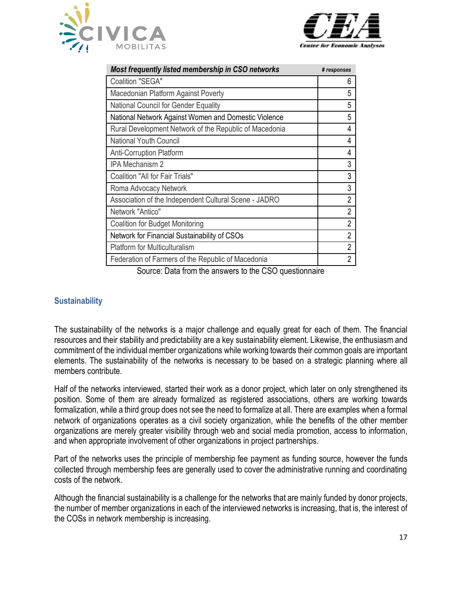



| Most frequently listed membership in CSO networks      | # responses    |
|--------------------------------------------------------|----------------|
| Coalition "SEGA"                                       | 6              |
| Macedonian Platform Against Poverty                    | 5              |
| National Council for Gender Equality                   | 5              |
| National Network Against Women and Domestic Violence   | 5              |
| Rural Development Network of the Republic of Macedonia | 4              |
| <b>National Youth Council</b>                          | 4              |
| <b>Anti-Corruption Platform</b>                        | 4              |
| IPA Mechanism 2                                        | 3              |
| Coalition "All for Fair Trials"                        | 3              |
| Roma Advocacy Network                                  | 3              |
| Association of the Independent Cultural Scene - JADRO  | $\overline{2}$ |
| Network "Antico"                                       | $\overline{2}$ |
| <b>Coalition for Budget Monitoring</b>                 | $\overline{2}$ |
| Network for Financial Sustainability of CSOs           | $\overline{2}$ |
| <b>Platform for Multiculturalism</b>                   | $\overline{2}$ |
| Federation of Farmers of the Republic of Macedonia     | $\overline{2}$ |

Source: Data from the answers to the CSO questionnaire

## <span id="page-16-0"></span>**Sustainability**

The sustainability of the networks is a major challenge and equally great for each of them. The financial resources and their stability and predictability are a key sustainability element. Likewise, the enthusiasm and commitment of the individual member organizations while working towards their common goals are important elements. The sustainability of the networks is necessary to be based on a strategic planning where all members contribute.

Half of the networks interviewed, started their work as a donor project, which later on only strengthened its position. Some of them are already formalized as registered associations, others are working towards formalization, while a third group does not see the need to formalize at all. There are examples when a formal network of organizations operates as a civil society organization, while the benefits of the other member organizations are merely greater visibility through web and social media promotion, access to information, and when appropriate involvement of other organizations in project partnerships.

Part of the networks uses the principle of membership fee payment as funding source, however the funds collected through membership fees are generally used to cover the administrative running and coordinating costs of the network.

Although the financial sustainability is a challenge for the networks that are mainly funded by donor projects, the number of member organizations in each of the interviewed networks is increasing, that is, the interest of the COSs in network membership is increasing.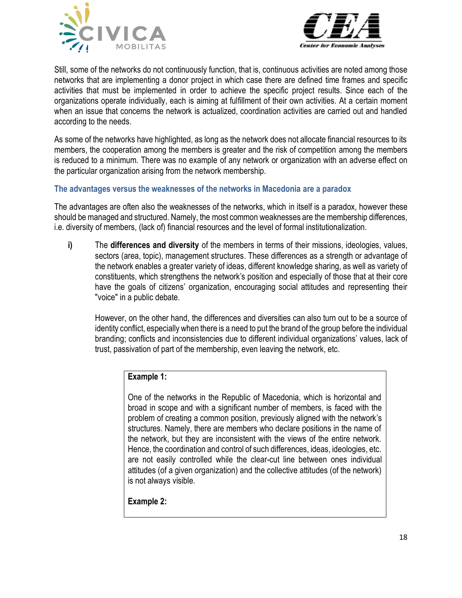



Still, some of the networks do not continuously function, that is, continuous activities are noted among those networks that are implementing a donor project in which case there are defined time frames and specific activities that must be implemented in order to achieve the specific project results. Since each of the organizations operate individually, each is aiming at fulfillment of their own activities. At a certain moment when an issue that concerns the network is actualized, coordination activities are carried out and handled according to the needs.

As some of the networks have highlighted, as long as the network does not allocate financial resources to its members, the cooperation among the members is greater and the risk of competition among the members is reduced to a minimum. There was no example of any network or organization with an adverse effect on the particular organization arising from the network membership.

## **The advantages versus the weaknesses of the networks in Macedonia are a paradox**

The advantages are often also the weaknesses of the networks, which in itself is a paradox, however these should be managed and structured. Namely, the most common weaknesses are the membership differences, i.e. diversity of members, (lack of) financial resources and the level of formal institutionalization.

**i)** The **differences and diversity** of the members in terms of their missions, ideologies, values, sectors (area, topic), management structures. These differences as a strength or advantage of the network enables a greater variety of ideas, different knowledge sharing, as well as variety of constituents, which strengthens the network's position and especially of those that at their core have the goals of citizens' organization, encouraging social attitudes and representing their "voice" in a public debate.

However, on the other hand, the differences and diversities can also turn out to be a source of identity conflict, especially when there is a need to put the brand of the group before the individual branding; conflicts and inconsistencies due to different individual organizations' values, lack of trust, passivation of part of the membership, even leaving the network, etc.

#### **Example 1:**

One of the networks in the Republic of Macedonia, which is horizontal and broad in scope and with a significant number of members, is faced with the problem of creating a common position, previously aligned with the network's structures. Namely, there are members who declare positions in the name of the network, but they are inconsistent with the views of the entire network. Hence, the coordination and control of such differences, ideas, ideologies, etc. are not easily controlled while the clear-cut line between ones individual attitudes (of a given organization) and the collective attitudes (of the network) is not always visible.

**Example 2:**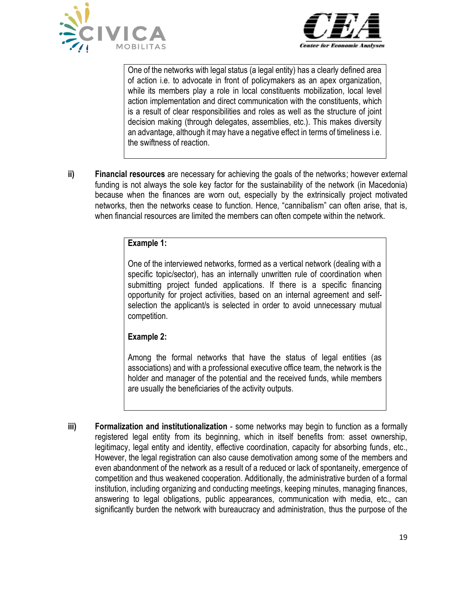



One of the networks with legal status (a legal entity) has a clearly defined area of action i.e. to advocate in front of policymakers as an apex organization, while its members play a role in local constituents mobilization, local level action implementation and direct communication with the constituents, which is a result of clear responsibilities and roles as well as the structure of joint decision making (through delegates, assemblies, etc.). This makes diversity an advantage, although it may have a negative effect in terms of timeliness i.e. the swiftness of reaction.

**ii) Financial resources** are necessary for achieving the goals of the networks; however external funding is not always the sole key factor for the sustainability of the network (in Macedonia) because when the finances are worn out, especially by the extrinsically project motivated networks, then the networks cease to function. Hence, "cannibalism" can often arise, that is, when financial resources are limited the members can often compete within the network.

## **Example 1:**

One of the interviewed networks, formed as a vertical network (dealing with a specific topic/sector), has an internally unwritten rule of coordination when submitting project funded applications. If there is a specific financing opportunity for project activities, based on an internal agreement and selfselection the applicant/s is selected in order to avoid unnecessary mutual competition.

## **Example 2:**

Among the formal networks that have the status of legal entities (as associations) and with a professional executive office team, the network is the holder and manager of the potential and the received funds, while members are usually the beneficiaries of the activity outputs.

**iii) Formalization and institutionalization** - some networks may begin to function as a formally registered legal entity from its beginning, which in itself benefits from: asset ownership, legitimacy, legal entity and identity, effective coordination, capacity for absorbing funds, etc., However, the legal registration can also cause demotivation among some of the members and even abandonment of the network as a result of a reduced or lack of spontaneity, emergence of competition and thus weakened cooperation. Additionally, the administrative burden of a formal institution, including organizing and conducting meetings, keeping minutes, managing finances, answering to legal obligations, public appearances, communication with media, etc., can significantly burden the network with bureaucracy and administration, thus the purpose of the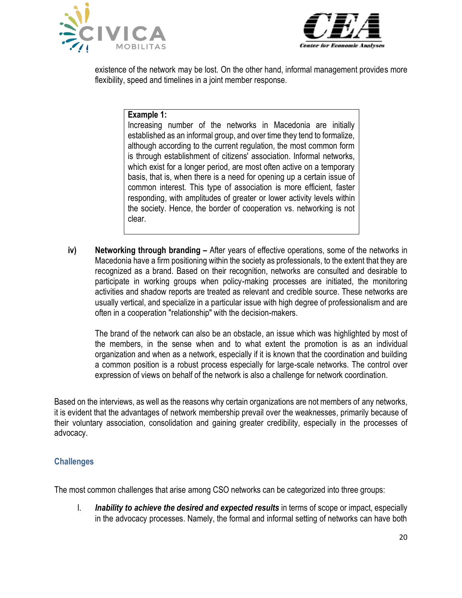



existence of the network may be lost. On the other hand, informal management provides more flexibility, speed and timelines in a joint member response.

#### **Example 1:**

Increasing number of the networks in Macedonia are initially established as an informal group, and over time they tend to formalize, although according to the current regulation, the most common form is through establishment of citizens' association. Informal networks, which exist for a longer period, are most often active on a temporary basis, that is, when there is a need for opening up a certain issue of common interest. This type of association is more efficient, faster responding, with amplitudes of greater or lower activity levels within the society. Hence, the border of cooperation vs. networking is not clear.

**iv) Networking through branding –** After years of effective operations, some of the networks in Macedonia have a firm positioning within the society as professionals, to the extent that they are recognized as a brand. Based on their recognition, networks are consulted and desirable to participate in working groups when policy-making processes are initiated, the monitoring activities and shadow reports are treated as relevant and credible source. These networks are usually vertical, and specialize in a particular issue with high degree of professionalism and are often in a cooperation "relationship" with the decision-makers.

The brand of the network can also be an obstacle, an issue which was highlighted by most of the members, in the sense when and to what extent the promotion is as an individual organization and when as a network, especially if it is known that the coordination and building a common position is a robust process especially for large-scale networks. The control over expression of views on behalf of the network is also a challenge for network coordination.

Based on the interviews, as well as the reasons why certain organizations are not members of any networks, it is evident that the advantages of network membership prevail over the weaknesses, primarily because of their voluntary association, consolidation and gaining greater credibility, especially in the processes of advocacy.

## <span id="page-19-0"></span>**Challenges**

The most common challenges that arise among CSO networks can be categorized into three groups:

I. *Inability to achieve the desired and expected results* in terms of scope or impact, especially in the advocacy processes. Namely, the formal and informal setting of networks can have both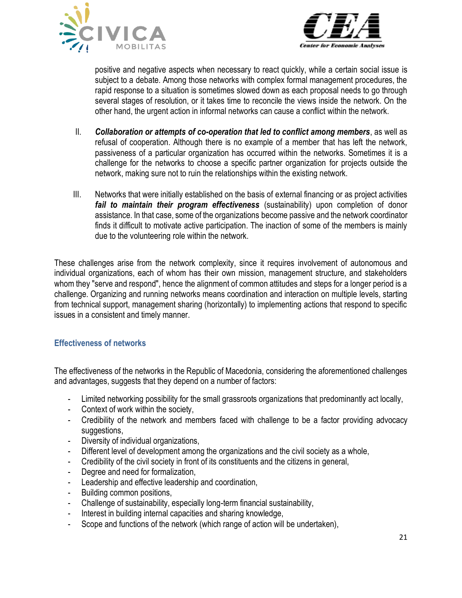



positive and negative aspects when necessary to react quickly, while a certain social issue is subject to a debate. Among those networks with complex formal management procedures, the rapid response to a situation is sometimes slowed down as each proposal needs to go through several stages of resolution, or it takes time to reconcile the views inside the network. On the other hand, the urgent action in informal networks can cause a conflict within the network.

- II. *Collaboration or attempts of co-operation that led to conflict among members*, as well as refusal of cooperation. Although there is no example of a member that has left the network, passiveness of a particular organization has occurred within the networks. Sometimes it is a challenge for the networks to choose a specific partner organization for projects outside the network, making sure not to ruin the relationships within the existing network.
- III. Networks that were initially established on the basis of external financing or as project activities *fail to maintain their program effectiveness* (sustainability) upon completion of donor assistance. In that case, some of the organizations become passive and the network coordinator finds it difficult to motivate active participation. The inaction of some of the members is mainly due to the volunteering role within the network.

These challenges arise from the network complexity, since it requires involvement of autonomous and individual organizations, each of whom has their own mission, management structure, and stakeholders whom they "serve and respond", hence the alignment of common attitudes and steps for a longer period is a challenge. Organizing and running networks means coordination and interaction on multiple levels, starting from technical support, management sharing (horizontally) to implementing actions that respond to specific issues in a consistent and timely manner.

## <span id="page-20-0"></span>**Effectiveness of networks**

The effectiveness of the networks in the Republic of Macedonia, considering the aforementioned challenges and advantages, suggests that they depend on a number of factors:

- Limited networking possibility for the small grassroots organizations that predominantly act locally,
- Context of work within the society,
- Credibility of the network and members faced with challenge to be a factor providing advocacy suggestions,
- Diversity of individual organizations,
- Different level of development among the organizations and the civil society as a whole,
- Credibility of the civil society in front of its constituents and the citizens in general,
- Degree and need for formalization,
- Leadership and effective leadership and coordination,
- Building common positions,
- Challenge of sustainability, especially long-term financial sustainability,
- Interest in building internal capacities and sharing knowledge,
- Scope and functions of the network (which range of action will be undertaken),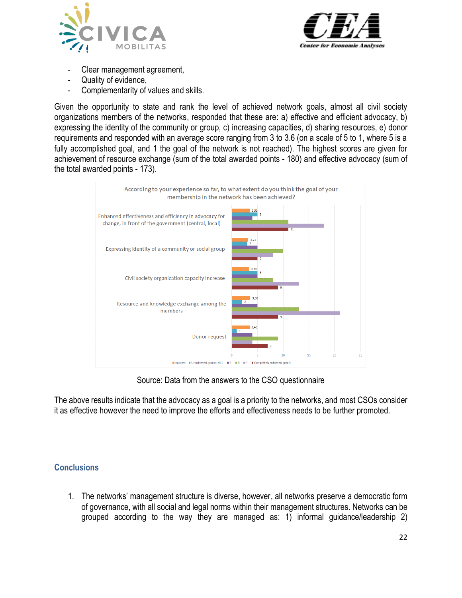



- Clear management agreement,
- Quality of evidence,
- Complementarity of values and skills.

Given the opportunity to state and rank the level of achieved network goals, almost all civil society organizations members of the networks, responded that these are: a) effective and efficient advocacy, b) expressing the identity of the community or group, c) increasing capacities, d) sharing resources, e) donor requirements and responded with an average score ranging from 3 to 3.6 (on a scale of 5 to 1, where 5 is a fully accomplished goal, and 1 the goal of the network is not reached). The highest scores are given for achievement of resource exchange (sum of the total awarded points - 180) and effective advocacy (sum of the total awarded points - 173).



Source: Data from the answers to the CSO questionnaire

<span id="page-21-0"></span>The above results indicate that the advocacy as a goal is a priority to the networks, and most CSOs consider it as effective however the need to improve the efforts and effectiveness needs to be further promoted.

## **Conclusions**

1. The networks' management structure is diverse, however, all networks preserve a democratic form of governance, with all social and legal norms within their management structures. Networks can be grouped according to the way they are managed as: 1) informal guidance/leadership 2)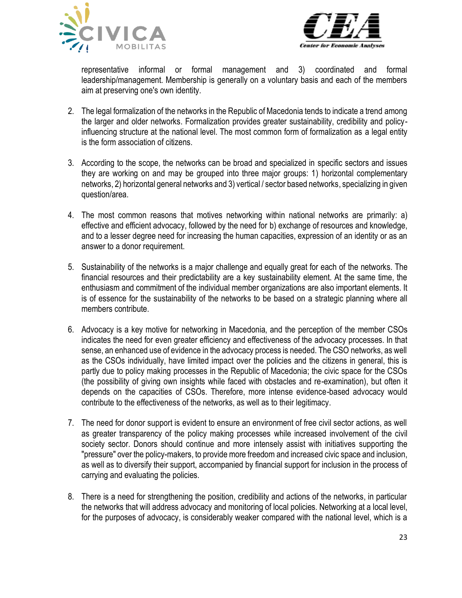



representative informal or formal management and 3) coordinated and formal leadership/management. Membership is generally on a voluntary basis and each of the members aim at preserving one's own identity.

- 2. The legal formalization of the networks in the Republic of Macedonia tends to indicate a trend among the larger and older networks. Formalization provides greater sustainability, credibility and policyinfluencing structure at the national level. The most common form of formalization as a legal entity is the form association of citizens.
- 3. According to the scope, the networks can be broad and specialized in specific sectors and issues they are working on and may be grouped into three major groups: 1) horizontal complementary networks, 2) horizontal general networks and 3) vertical / sector based networks, specializing in given question/area.
- 4. The most common reasons that motives networking within national networks are primarily: a) effective and efficient advocacy, followed by the need for b) exchange of resources and knowledge, and to a lesser degree need for increasing the human capacities, expression of an identity or as an answer to a donor requirement.
- 5. Sustainability of the networks is a major challenge and equally great for each of the networks. The financial resources and their predictability are a key sustainability element. At the same time, the enthusiasm and commitment of the individual member organizations are also important elements. It is of essence for the sustainability of the networks to be based on a strategic planning where all members contribute.
- 6. Advocacy is a key motive for networking in Macedonia, and the perception of the member CSOs indicates the need for even greater efficiency and effectiveness of the advocacy processes. In that sense, an enhanced use of evidence in the advocacy process is needed. The CSO networks, as well as the CSOs individually, have limited impact over the policies and the citizens in general, this is partly due to policy making processes in the Republic of Macedonia; the civic space for the CSOs (the possibility of giving own insights while faced with obstacles and re-examination), but often it depends on the capacities of CSOs. Therefore, more intense evidence-based advocacy would contribute to the effectiveness of the networks, as well as to their legitimacy.
- 7. The need for donor support is evident to ensure an environment of free civil sector actions, as well as greater transparency of the policy making processes while increased involvement of the civil society sector. Donors should continue and more intensely assist with initiatives supporting the "pressure" over the policy-makers, to provide more freedom and increased civic space and inclusion, as well as to diversify their support, accompanied by financial support for inclusion in the process of carrying and evaluating the policies.
- 8. There is a need for strengthening the position, credibility and actions of the networks, in particular the networks that will address advocacy and monitoring of local policies. Networking at a local level, for the purposes of advocacy, is considerably weaker compared with the national level, which is a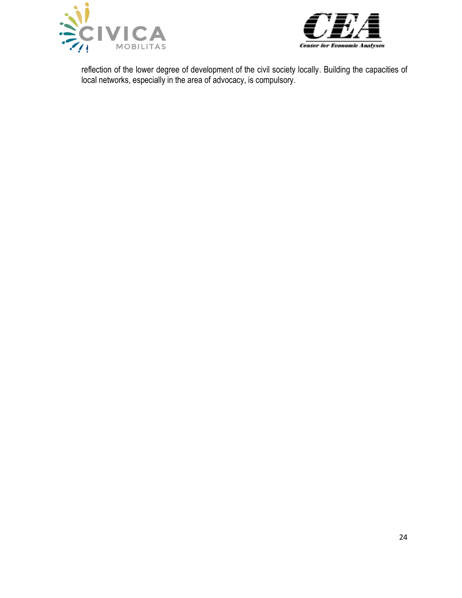



reflection of the lower degree of development of the civil society locally. Building the capacities of local networks, especially in the area of advocacy, is compulsory.